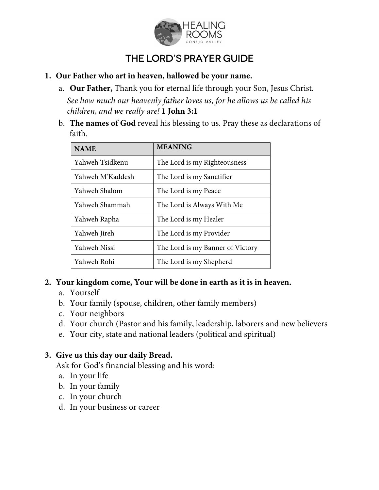

# The Lord's Prayer Guide

- **1. Our Father who art in heaven, hallowed be your name.**
	- a. **Our Father,** Thank you for eternal life through your Son, Jesus Christ. *See how much our heavenly father loves us, for he allows us be called his children, and we really are!* **1 John 3:1**
	- b. **The names of God** reveal his blessing to us. Pray these as declarations of faith.

| <b>NAME</b>      | <b>MEANING</b>                   |
|------------------|----------------------------------|
| Yahweh Tsidkenu  | The Lord is my Righteousness     |
| Yahweh M'Kaddesh | The Lord is my Sanctifier        |
| Yahweh Shalom    | The Lord is my Peace             |
| Yahweh Shammah   | The Lord is Always With Me       |
| Yahweh Rapha     | The Lord is my Healer            |
| Yahweh Jireh     | The Lord is my Provider          |
| Yahweh Nissi     | The Lord is my Banner of Victory |
| Yahweh Rohi      | The Lord is my Shepherd          |

#### **2. Your kingdom come, Your will be done in earth as it is in heaven.**

- a. Yourself
- b. Your family (spouse, children, other family members)
- c. Your neighbors
- d. Your church (Pastor and his family, leadership, laborers and new believers
- e. Your city, state and national leaders (political and spiritual)

#### **3. Give us this day our daily Bread.**

Ask for God's financial blessing and his word:

- a. In your life
- b. In your family
- c. In your church
- d. In your business or career